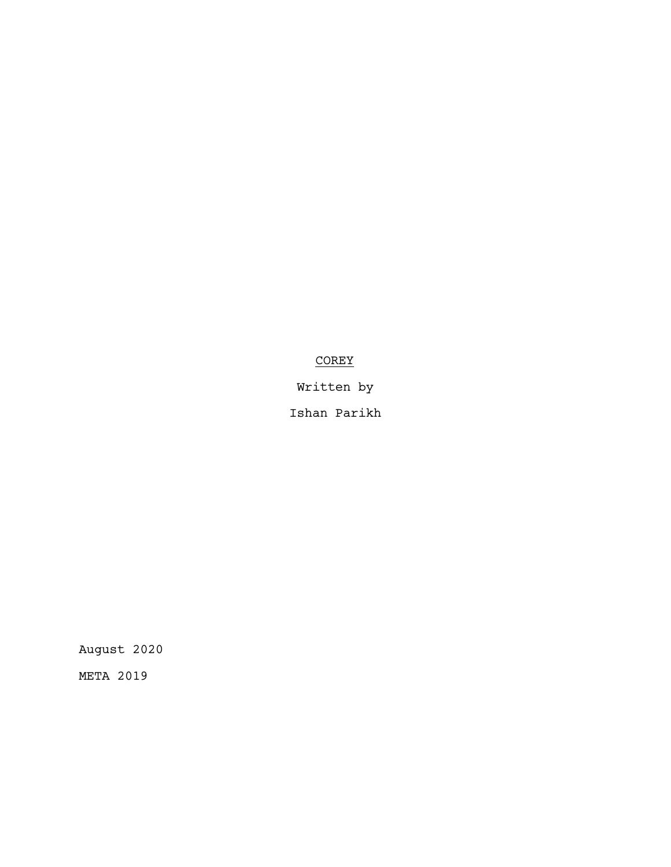# **COREY**

Written by

Ishan Parikh

August 2020

META 2019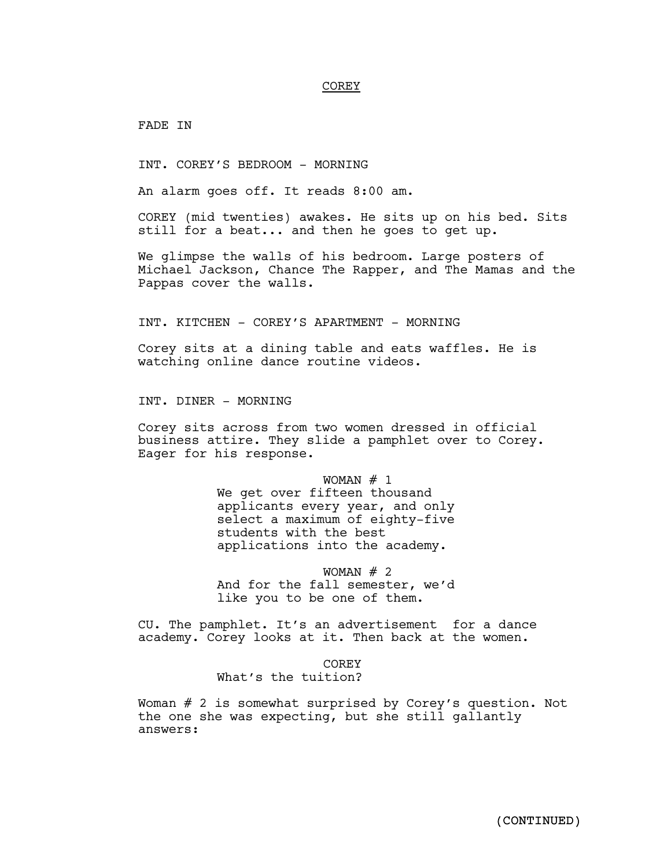#### COREY

FADE IN

INT. COREY'S BEDROOM - MORNING

An alarm goes off. It reads 8:00 am.

COREY (mid twenties) awakes. He sits up on his bed. Sits still for a beat... and then he goes to get up.

We glimpse the walls of his bedroom. Large posters of Michael Jackson, Chance The Rapper, and The Mamas and the Pappas cover the walls.

INT. KITCHEN - COREY'S APARTMENT - MORNING

Corey sits at a dining table and eats waffles. He is watching online dance routine videos.

INT. DINER - MORNING

Corey sits across from two women dressed in official business attire. They slide a pamphlet over to Corey. Eager for his response.

> WOMAN  $# 1$ We get over fifteen thousand applicants every year, and only select a maximum of eighty-five students with the best applications into the academy.

> WOMAN  $# 2$ And for the fall semester, we'd like you to be one of them.

CU. The pamphlet. It's an advertisement for a dance academy. Corey looks at it. Then back at the women.

> COREY What's the tuition?

Woman # 2 is somewhat surprised by Corey's question. Not the one she was expecting, but she still gallantly answers: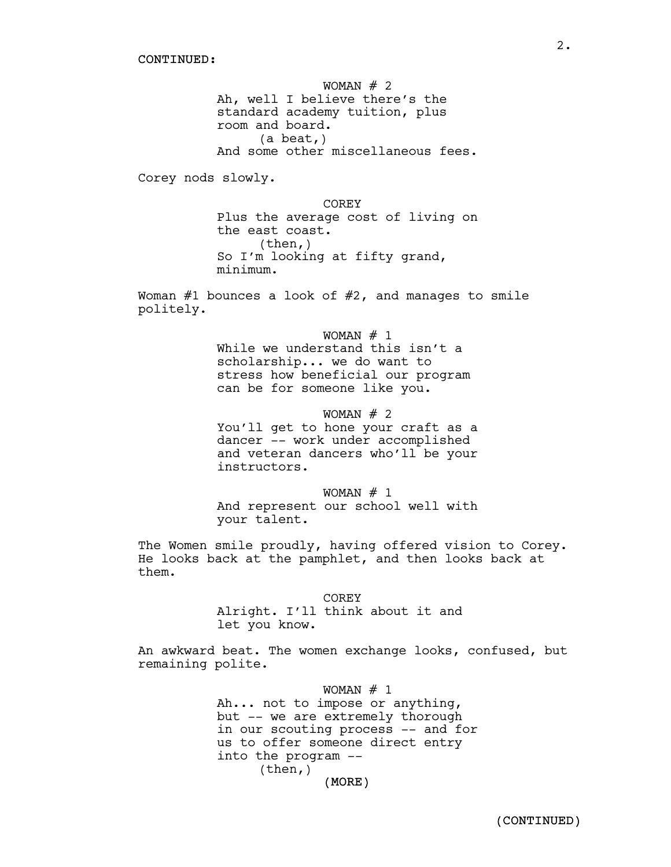WOMAN  $# 2$ Ah, well I believe there's the standard academy tuition, plus room and board. (a beat,) And some other miscellaneous fees. Corey nods slowly. COREY

Plus the average cost of living on the east coast.  $(then, )$ So I'm looking at fifty grand, minimum.

Woman  $#1$  bounces a look of  $#2$ , and manages to smile politely.

WOMAN  $# 1$ 

While we understand this isn't a scholarship... we do want to stress how beneficial our program can be for someone like you.

## WOMAN  $# 2$

You'll get to hone your craft as a dancer -- work under accomplished and veteran dancers who'll be your instructors.

WOMAN  $# 1$ And represent our school well with your talent.

The Women smile proudly, having offered vision to Corey. He looks back at the pamphlet, and then looks back at them.

> COREY Alright. I'll think about it and let you know.

An awkward beat. The women exchange looks, confused, but remaining polite.

> (MORE) WOMAN  $# 1$ Ah... not to impose or anything, but -- we are extremely thorough in our scouting process -- and for us to offer someone direct entry into the program -- (then,)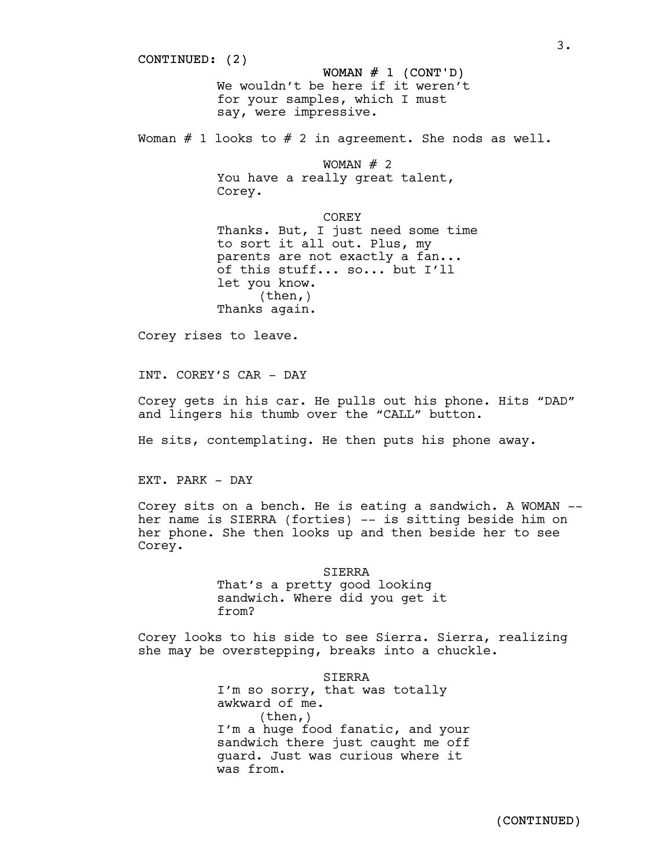CONTINUED: (2) WOMAN  $# 1$  (CONT'D) We wouldn't be here if it weren't for your samples, which I must say, were impressive. Woman  $#$  1 looks to  $#$  2 in agreement. She nods as well. WOMAN  $#$  2 You have a really great talent, Corey. COREY Thanks. But, I just need some time to sort it all out. Plus, my parents are not exactly a fan... of this stuff... so... but I'll let you know. (then,) Thanks again. Corey rises to leave. INT. COREY'S CAR - DAY Corey gets in his car. He pulls out his phone. Hits "DAD" and lingers his thumb over the "CALL" button.

He sits, contemplating. He then puts his phone away.

EXT. PARK - DAY

Corey sits on <sup>a</sup> bench. He is eating <sup>a</sup> sandwich. <sup>A</sup> WOMAN -- her name is SIERRA (forties) -- is sitting beside him on her phone. She then looks up and then beside her to see Corey.

> SIERRA That's a pretty good looking sandwich. Where did you get it from?

Corey looks to his side to see Sierra. Sierra, realizing she may be overstepping, breaks into a chuckle.

> **STERRA** I'm so sorry, that was totally awkward of me. (then,) I'm a huge food fanatic, and your sandwich there just caught me off guard. Just was curious where it was from.

3.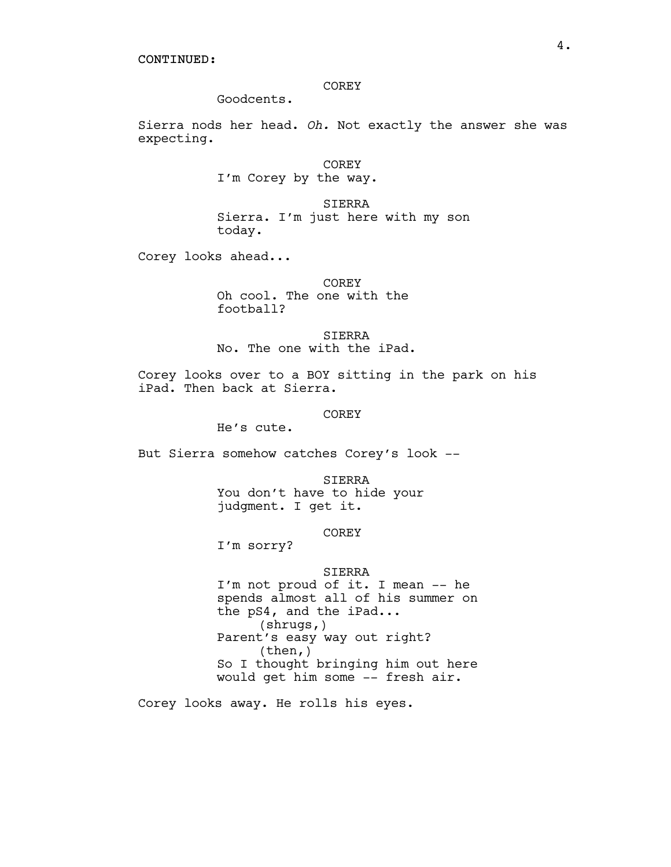CONTINUED:

# COREY

Goodcents.

Sierra nods her head. *Oh.* Not exactly the answer she was expecting.

> COREY I'm Corey by the way.

SIERRA Sierra. I'm just here with my son today.

Corey looks ahead...

COREY Oh cool. The one with the football?

SIERRA No. The one with the iPad.

Corey looks over to a BOY sitting in the park on his iPad. Then back at Sierra.

COREY

He's cute.

But Sierra somehow catches Corey's look --

SIERRA You don't have to hide your judgment. I get it.

# **COREY**

I'm sorry?

#### SIERRA

I'm not proud of it. I mean -- he spends almost all of his summer on the pS4, and the iPad...<br>(shrugs,) Parent's easy way out right? (then,) So I thought bringing him out here would get him some -- fresh air.

Corey looks away. He rolls his eyes.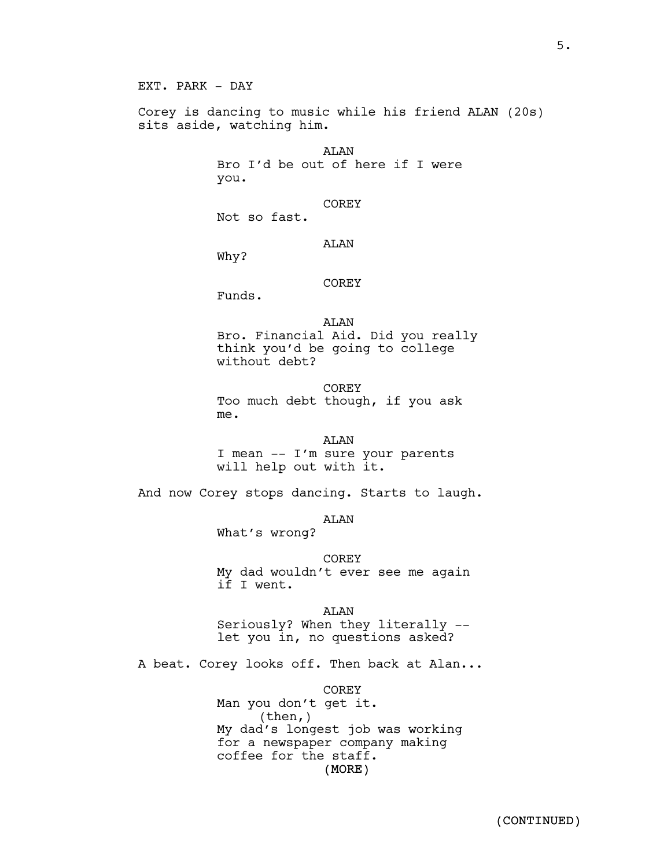Corey is dancing to music while his friend ALAN (20s) sits aside, watching him.

> ALAN Bro I'd be out of here if I were you.

> > COREY

Not so fast.

## AT.AN

Why?

# COREY

Funds.

ALAN Bro. Financial Aid. Did you really think you'd be going to college without debt?

**COREY** Too much debt though, if you ask me.

# ALAN

I mean -- I'm sure your parents will help out with it.

And now Corey stops dancing. Starts to laugh.

ALAN

What's wrong?

COREY My dad wouldn't ever see me again if I went.

AT.AN

Seriously? When they literally -- let you in, no questions asked?

A beat. Corey looks off. Then back at Alan...

COREY

(MORE) Man you don't get it. (then,) My dad's longest job was working for a newspaper company making coffee for the staff.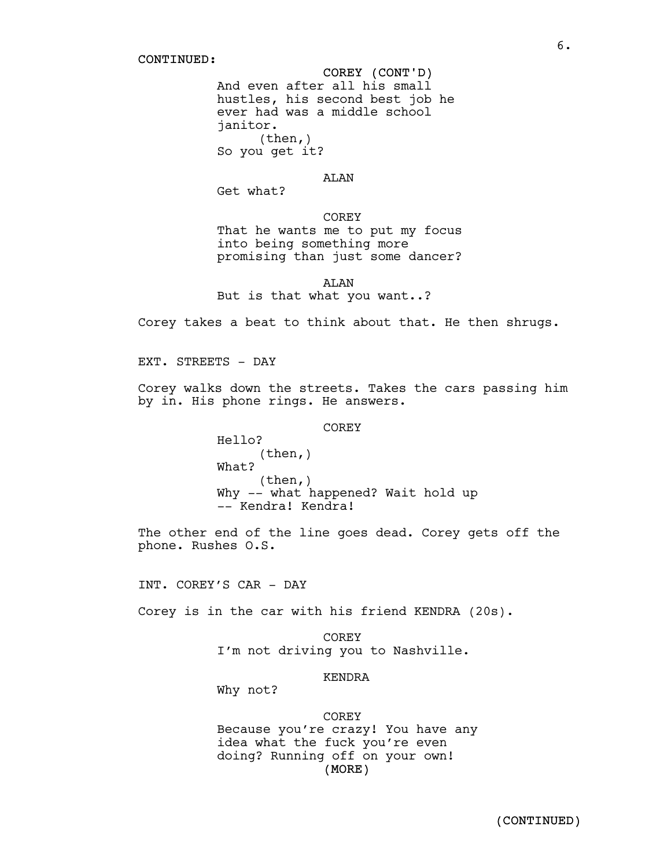# COREY (CONT'D)

And even after all his small hustles, his second best job he ever had was a middle school janitor.  $(then, )$ So you get it?

# ALAN

Get what?

# COREY

That he wants me to put my focus into being something more promising than just some dancer?

ALAN But is that what you want..?

Corey takes a beat to think about that. He then shrugs.

EXT. STREETS - DAY

Corey walks down the streets. Takes the cars passing him by in. His phone rings. He answers.

COREY

Hello? (then,) What? (then,) Why -- what happened? Wait hold up<br>-- Kendra! Kendra!

The other end of the line goes dead. Corey gets off the phone. Rushes O.S.

INT. COREY'S CAR - DAY

Corey is in the car with his friend KENDRA (20s).

COREY I'm not driving you to Nashville.

# KENDRA

Why not?

## COREY

(MORE) Because you're crazy! You have any idea what the fuck you're even doing? Running off on your own!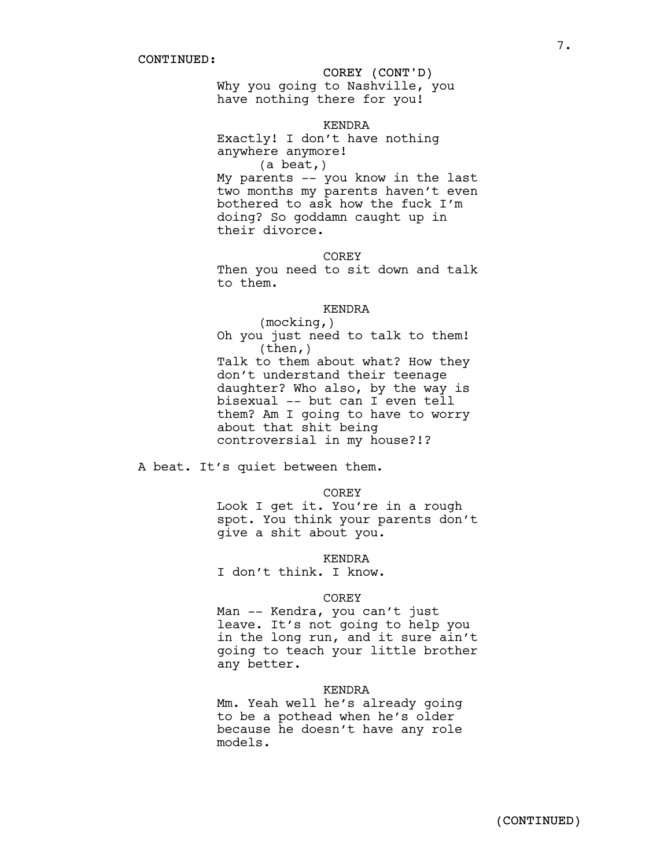# COREY (CONT'D)

Why you going to Nashville, you have nothing there for you!

## KENDRA

Exactly! I don't have nothing anywhere anymore! (a beat,)

My parents -- you know in the last two months my parents haven't even bothered to ask how the fuck I'm doing? So goddamn caught up in their divorce.

#### COREY

Then you need to sit down and talk to them.

#### KENDRA

(mocking,) Oh you just need to talk to them! (then,) Talk to them about what? How they don't understand their teenage daughter? Who also, by the way is bisexual -- but can I even tell them? Am I going to have to worry about that shit being controversial in my house?!?

A beat. It's quiet between them.

COREY

Look I get it. You're in a rough spot. You think your parents don't give a shit about you.

KENDRA

I don't think. I know.

## COREY

Man -- Kendra, you can't just leave. It's not going to help you in the long run, and it sure ain't going to teach your little brother any better.

#### KENDRA

Mm. Yeah well he's already going to be a pothead when he's older because he doesn't have any role models.

7.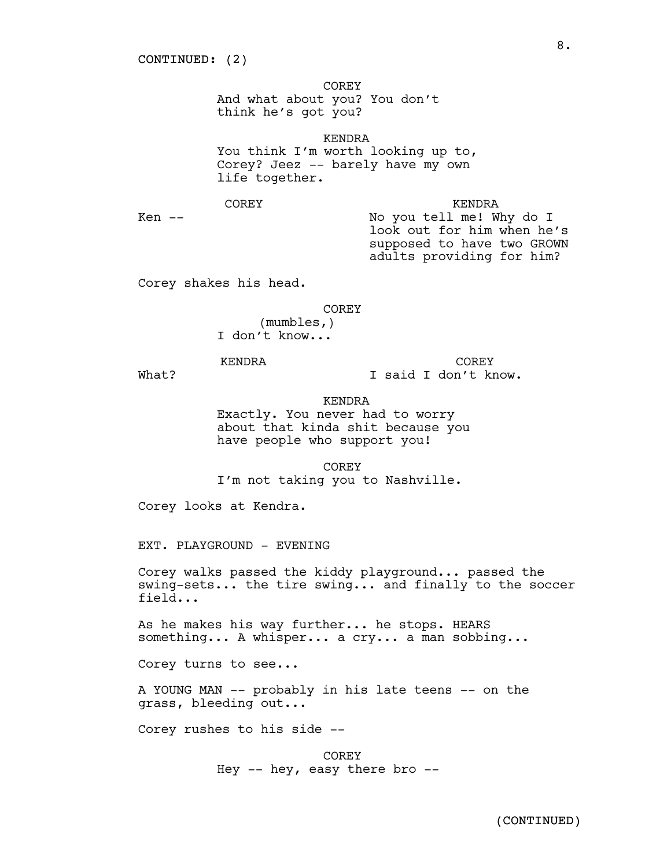COREY

And what about you? You don't think he's got you?

KENDRA You think I'm worth looking up to, Corey? Jeez -- barely have my own life together.

COREY

KENDRA

 $Ken$   $--$ 

No you tell me! Why do I look out for him when he's supposed to have two GROWN adults providing for him?

Corey shakes his head.

COREY

(mumbles,) I don't know...

KENDRA

What?

COREY I said I don't know.

KENDRA Exactly. You never had to worry about that kinda shit because you have people who support you!

**COREY** I'm not taking you to Nashville.

Corey looks at Kendra.

EXT. PLAYGROUND - EVENING

Corey walks passed the kiddy playground... passed the swing-sets... the tire swing... and finally to the soccer field...

As he makes his way further... he stops. HEARS something... A whisper... a cry... a man sobbing...

Corey turns to see...

A YOUNG MAN -- probably in his late teens -- on the grass, bleeding out...

Corey rushes to his side --

COREY Hey -- hey, easy there bro --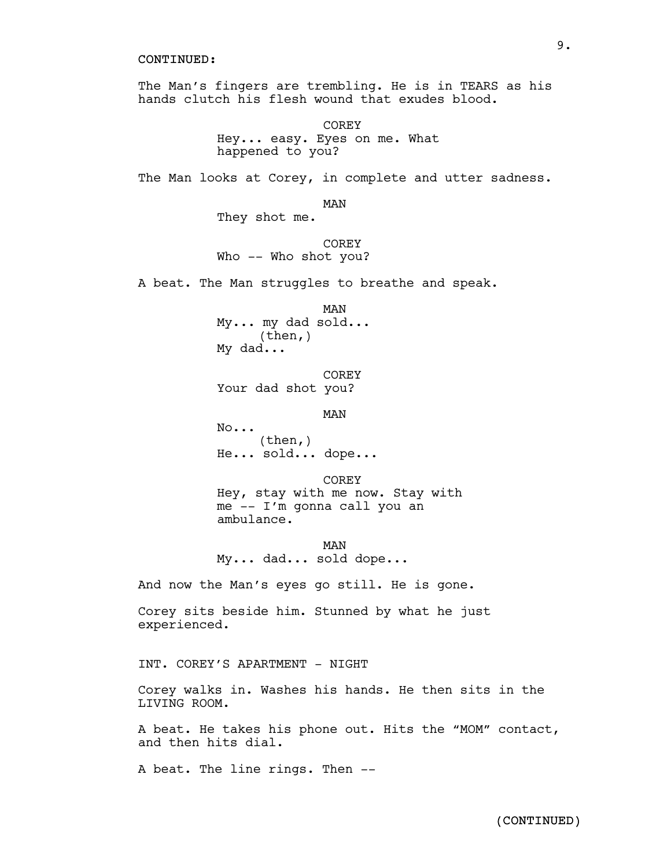## CONTINUED:

The Man's fingers are trembling. He is in TEARS as his hands clutch his flesh wound that exudes blood.

> **COREY** Hey... easy. Eyes on me. What happened to you?

The Man looks at Corey, in complete and utter sadness.

MAN

They shot me.

**COREY** Who -- Who shot you?

A beat. The Man struggles to breathe and speak.

MAN My... my dad sold... (then,) My dad...

COREY Your dad shot you?

MAN

No... (then,) He... sold... dope...

COREY Hey, stay with me now. Stay with me -- I'm gonna call you an ambulance.

MAN My... dad... sold dope...

And now the Man's eyes go still. He is gone.

Corey sits beside him. Stunned by what he just experienced.

INT. COREY'S APARTMENT - NIGHT

Corey walks in. Washes his hands. He then sits in the LIVING ROOM.

A beat. He takes his phone out. Hits the "MOM" contact, and then hits dial.

A beat. The line rings. Then --